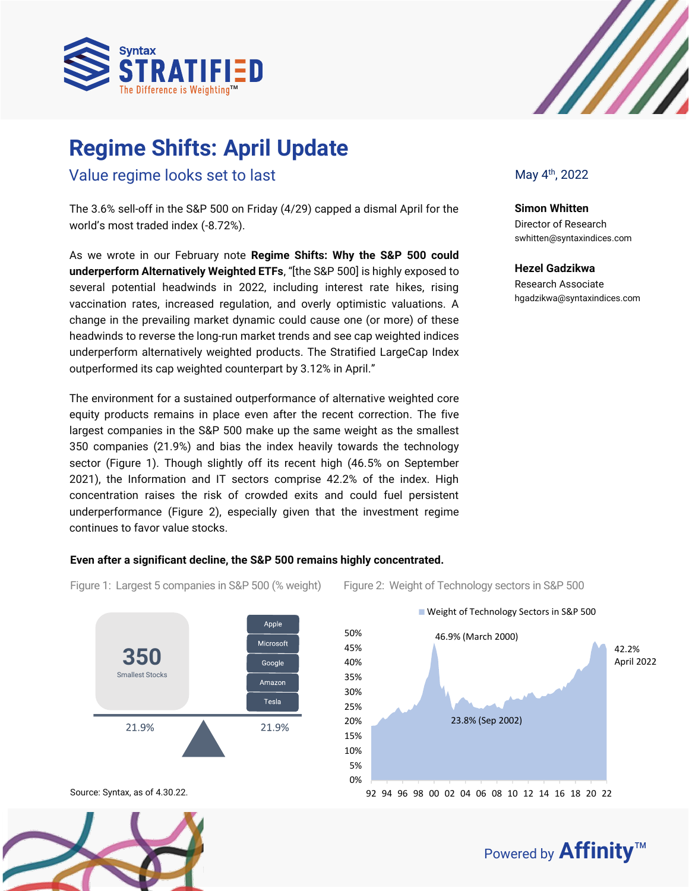

# **Regime Shifts:** ` **April Update**

Value regime looks set to last

The 3.6% sell-off in the S&P 500 on Friday (4/29) capped a dismal April for the world's most traded index (-8.72%).

As we wrote in our February note **Regime Shifts: Why the S&P 500 could underperform Alternatively Weighted ETFs**, "[the S&P 500] is highly exposed to several potential headwinds in 2022, including interest rate hikes, rising vaccination rates, increased regulation, and overly optimistic valuations. A change in the prevailing market dynamic could cause one (or more) of these headwinds to reverse the long-run market trends and see cap weighted indices underperform alternatively weighted products. The Stratified LargeCap Index outperformed its cap weighted counterpart by 3.12% in April."

The environment for a sustained outperformance of alternative weighted core equity products remains in place even after the recent correction. The five largest companies in the S&P 500 make up the same weight as the smallest 350 companies (21.9%) and bias the index heavily towards the technology sector (Figure 1). Though slightly off its recent high (46.5% on September 2021), the Information and IT sectors comprise 42.2% of the index. High concentration raises the risk of crowded exits and could fuel persistent underperformance (Figure 2), especially given that the investment regime continues to favor value stocks.

## **Even after a significant decline, the S&P 500 remains highly concentrated.**

45% 50%







Figure 1: Largest 5 companies in S&P 500 (% weight) Figure 2: Weight of Technology sectors in S&P 500



**Simon Whitten** Director of Research Director of Research<br>swhitten@syntaxindices.com

**Hezel Gadzikwa** Research Associate hgadzikwa@syntaxindices.com

42.2% 46.9% (March 2000)

Weight of Technology Sectors in S&P 500





Powered by **Affinity**™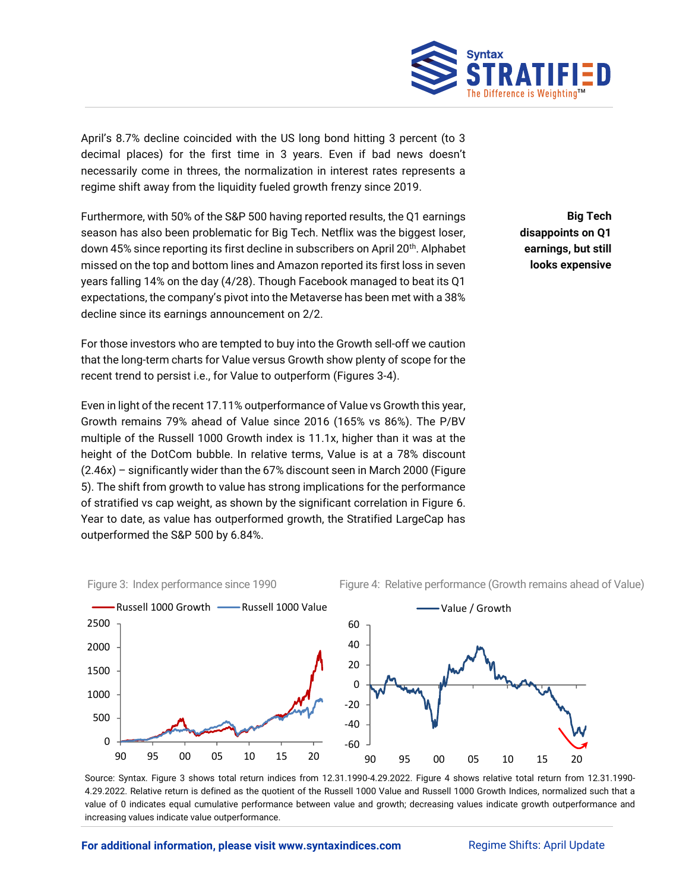

April's 8.7% decline coincided with the US long bond hitting 3 percent (to 3 decimal places) for the first time in 3 years. Even if bad news doesn't necessarily come in threes, the normalization in interest rates represents a regime shift away from the liquidity fueled growth frenzy since 2019.

Furthermore, with 50% of the S&P 500 having reported results, the Q1 earnings season has also been problematic for Big Tech. Netflix was the biggest loser, down 45% since reporting its first decline in subscribers on April 20<sup>th</sup>. Alphabet missed on the top and bottom lines and Amazon reported its first loss in seven years falling 14% on the day (4/28). Though Facebook managed to beat its Q1 expectations, the company's pivot into the Metaverse has been met with a 38% decline since its earnings announcement on 2/2.

For those investors who are tempted to buy into the Growth sell-off we caution that the long-term charts for Value versus Growth show plenty of scope for the recent trend to persist i.e., for Value to outperform (Figures 3-4).

Even in light of the recent 17.11% outperformance of Value vs Growth this year, Growth remains 79% ahead of Value since 2016 (165% vs 86%). The P/BV multiple of the Russell 1000 Growth index is 11.1x, higher than it was at the height of the DotCom bubble. In relative terms, Value is at a 78% discount (2.46x) – significantly wider than the 67% discount seen in March 2000 (Figure 5). The shift from growth to value has strong implications for the performance of stratified vs cap weight, as shown by the significant correlation in Figure 6. Year to date, as value has outperformed growth, the Stratified LargeCap has outperformed the S&P 500 by 6.84%.

**Big Tech disappoints on Q1 earnings, but still looks expensive**







Source: Syntax. Figure 3 shows total return indices from 12.31.1990-4.29.2022. Figure 4 shows relative total return from 12.31.1990- 4.29.2022. Relative return is defined as the quotient of the Russell 1000 Value and Russell 1000 Growth Indices, normalized such that a value of 0 indicates equal cumulative performance between value and growth; decreasing values indicate growth outperformance and increasing values indicate value outperformance.

#### **For additional information, please visit www.syntaxindices.com Regime Shifts: April Update**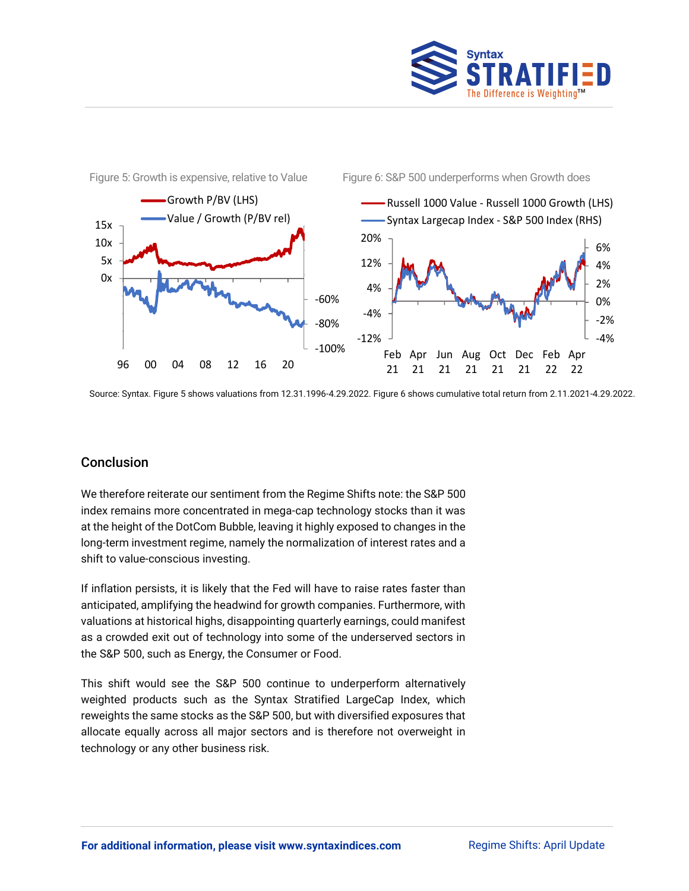



Source: Syntax. Figure 5 shows valuations from 12.31.1996-4.29.2022. Figure 6 shows cumulative total return from 2.11.2021-4.29.2022.

# Conclusion

We therefore reiterate our sentiment from the Regime Shifts note: the S&P 500 index remains more concentrated in mega-cap technology stocks than it was at the height of the DotCom Bubble, leaving it highly exposed to changes in the long-term investment regime, namely the normalization of interest rates and a shift to value-conscious investing.

If inflation persists, it is likely that the Fed will have to raise rates faster than anticipated, amplifying the headwind for growth companies. Furthermore, with valuations at historical highs, disappointing quarterly earnings, could manifest as a crowded exit out of technology into some of the underserved sectors in the S&P 500, such as Energy, the Consumer or Food.

This shift would see the S&P 500 continue to underperform alternatively weighted products such as the Syntax Stratified LargeCap Index, which reweights the same stocks as the S&P 500, but with diversified exposures that allocate equally across all major sectors and is therefore not overweight in technology or any other business risk.